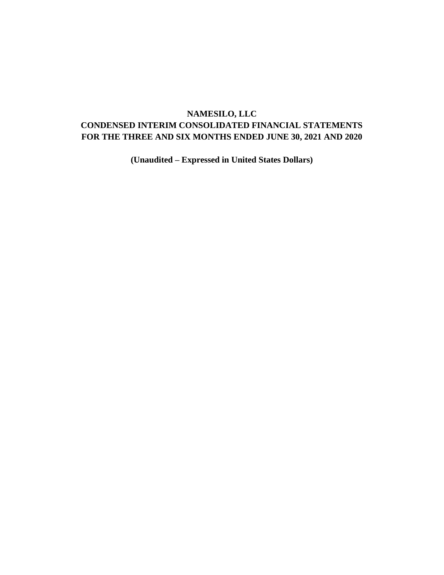# **NAMESILO, LLC**

# **CONDENSED INTERIM CONSOLIDATED FINANCIAL STATEMENTS FOR THE THREE AND SIX MONTHS ENDED JUNE 30, 2021 AND 2020**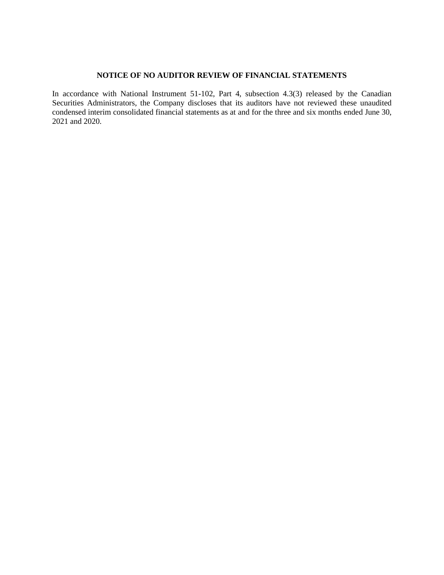## **NOTICE OF NO AUDITOR REVIEW OF FINANCIAL STATEMENTS**

In accordance with National Instrument 51-102, Part 4, subsection 4.3(3) released by the Canadian Securities Administrators, the Company discloses that its auditors have not reviewed these unaudited condensed interim consolidated financial statements as at and for the three and six months ended June 30, 2021 and 2020.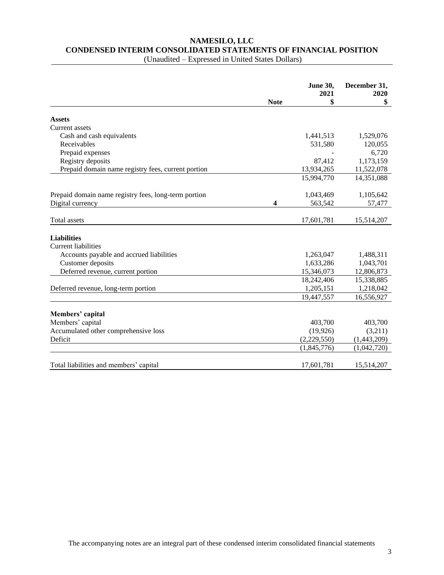# **NAMESILO, LLC CONDENSED INTERIM CONSOLIDATED STATEMENTS OF FINANCIAL POSITION**

|                                                      |             | <b>June 30,</b><br>2021 | December 31,<br>2020 |
|------------------------------------------------------|-------------|-------------------------|----------------------|
|                                                      | <b>Note</b> | \$                      | \$                   |
| <b>Assets</b>                                        |             |                         |                      |
| Current assets                                       |             |                         |                      |
| Cash and cash equivalents                            |             | 1,441,513               | 1,529,076            |
| Receivables                                          |             | 531,580                 | 120,055              |
| Prepaid expenses                                     |             |                         | 6,720                |
| Registry deposits                                    |             | 87,412                  | 1,173,159            |
| Prepaid domain name registry fees, current portion   |             | 13,934,265              | 11,522,078           |
|                                                      |             | 15,994,770              | 14,351,088           |
| Prepaid domain name registry fees, long-term portion |             | 1,043,469               | 1,105,642            |
| Digital currency                                     | 4           | 563,542                 | 57,477               |
| Total assets                                         |             | 17,601,781              | 15,514,207           |
| <b>Liabilities</b>                                   |             |                         |                      |
| <b>Current liabilities</b>                           |             |                         |                      |
| Accounts payable and accrued liabilities             |             | 1,263,047               | 1,488,311            |
| Customer deposits                                    |             | 1,633,286               | 1,043,701            |
| Deferred revenue, current portion                    |             | 15,346,073              | 12,806,873           |
|                                                      |             | 18,242,406              | 15,338,885           |
| Deferred revenue, long-term portion                  |             | 1,205,151               | 1,218,042            |
|                                                      |             | 19,447,557              | 16,556,927           |
|                                                      |             |                         |                      |
| Members' capital<br>Members' capital                 |             | 403,700                 | 403,700              |
| Accumulated other comprehensive loss                 |             | (19, 926)               | (3,211)              |
| Deficit                                              |             | (2,229,550)             | (1,443,209)          |
|                                                      |             | (1,845,776)             | (1,042,720)          |
|                                                      |             |                         |                      |
| Total liabilities and members' capital               |             | 17,601,781              | 15,514,207           |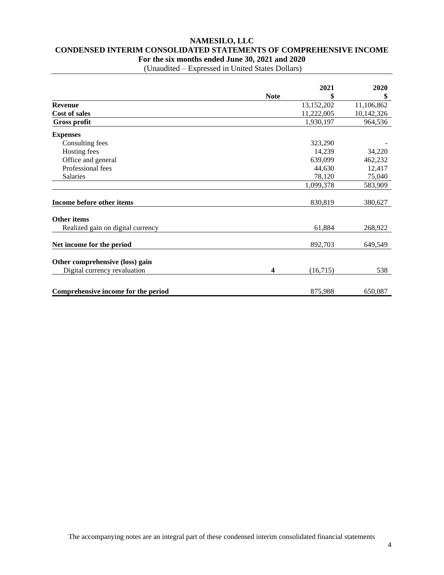# **NAMESILO, LLC CONDENSED INTERIM CONSOLIDATED STATEMENTS OF COMPREHENSIVE INCOME For the six months ended June 30, 2021 and 2020**

|                                     |                         | 2021       | 2020       |
|-------------------------------------|-------------------------|------------|------------|
|                                     | <b>Note</b>             | \$         | \$         |
| <b>Revenue</b>                      |                         | 13,152,202 | 11,106,862 |
| <b>Cost of sales</b>                |                         | 11,222,005 | 10,142,326 |
| <b>Gross profit</b>                 |                         | 1,930,197  | 964,536    |
| <b>Expenses</b>                     |                         |            |            |
| Consulting fees                     |                         | 323,290    |            |
| Hosting fees                        |                         | 14,239     | 34,220     |
| Office and general                  |                         | 639,099    | 462,232    |
| Professional fees                   |                         | 44,630     | 12,417     |
| Salaries                            |                         | 78,120     | 75,040     |
|                                     |                         | 1,099,378  | 583,909    |
| Income before other items           |                         | 830,819    | 380,627    |
| <b>Other items</b>                  |                         |            |            |
| Realized gain on digital currency   |                         | 61,884     | 268,922    |
| Net income for the period           |                         | 892,703    | 649,549    |
| Other comprehensive (loss) gain     |                         |            |            |
| Digital currency revaluation        | $\overline{\mathbf{4}}$ | (16,715)   | 538        |
| Comprehensive income for the period |                         | 875,988    | 650,087    |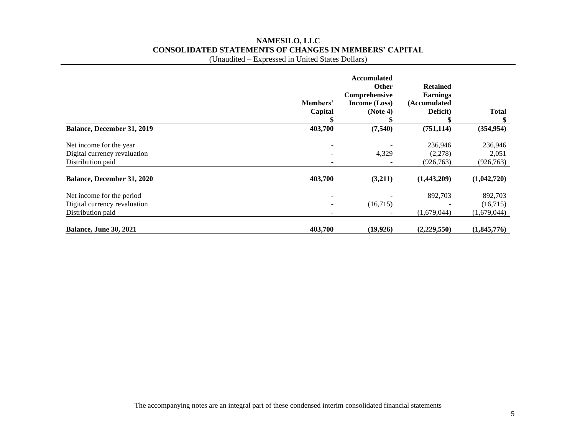# **NAMESILO, LLC CONSOLIDATED STATEMENTS OF CHANGES IN MEMBERS' CAPITAL**

(Unaudited – Expressed in United States Dollars)

|                                                                                | Members'<br>Capital | <b>Accumulated</b><br>Other<br>Comprehensive<br>Income (Loss)<br>(Note 4) | <b>Retained</b><br><b>Earnings</b><br>(Accumulated<br>Deficit) | <b>Total</b>                       |
|--------------------------------------------------------------------------------|---------------------|---------------------------------------------------------------------------|----------------------------------------------------------------|------------------------------------|
| Balance, December 31, 2019                                                     | 403,700             | (7,540)                                                                   | (751, 114)                                                     | (354, 954)                         |
| Net income for the year<br>Digital currency revaluation<br>Distribution paid   |                     | 4,329                                                                     | 236,946<br>(2,278)<br>(926, 763)                               | 236,946<br>2,051<br>(926, 763)     |
| Balance, December 31, 2020                                                     | 403,700             | (3,211)                                                                   | (1,443,209)                                                    | (1,042,720)                        |
| Net income for the period<br>Digital currency revaluation<br>Distribution paid |                     | (16,715)                                                                  | 892,703<br>(1,679,044)                                         | 892,703<br>(16,715)<br>(1,679,044) |
| <b>Balance, June 30, 2021</b>                                                  | 403,700             | (19, 926)                                                                 | (2,229,550)                                                    | (1,845,776)                        |

The accompanying notes are an integral part of these condensed interim consolidated financial statements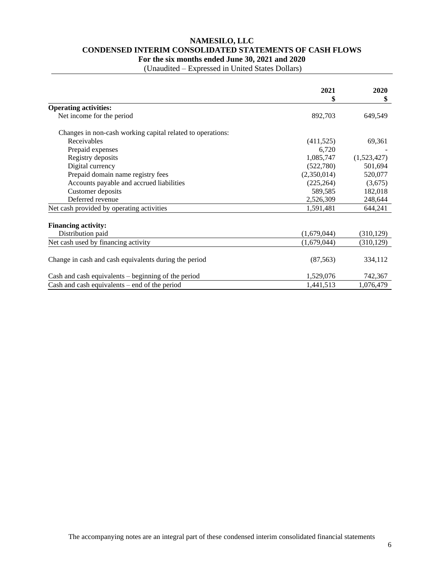# **NAMESILO, LLC CONDENSED INTERIM CONSOLIDATED STATEMENTS OF CASH FLOWS For the six months ended June 30, 2021 and 2020**

|                                                            | 2021        | 2020        |
|------------------------------------------------------------|-------------|-------------|
|                                                            | \$          | \$          |
| <b>Operating activities:</b>                               |             |             |
| Net income for the period                                  | 892,703     | 649,549     |
| Changes in non-cash working capital related to operations: |             |             |
| Receivables                                                | (411, 525)  | 69,361      |
| Prepaid expenses                                           | 6,720       |             |
| Registry deposits                                          | 1,085,747   | (1,523,427) |
| Digital currency                                           | (522,780)   | 501,694     |
| Prepaid domain name registry fees                          | (2,350,014) | 520,077     |
| Accounts payable and accrued liabilities                   | (225, 264)  | (3,675)     |
| Customer deposits                                          | 589,585     | 182,018     |
| Deferred revenue                                           | 2,526,309   | 248,644     |
| Net cash provided by operating activities                  | 1,591,481   | 644,241     |
| <b>Financing activity:</b>                                 |             |             |
| Distribution paid                                          | (1,679,044) | (310, 129)  |
| Net cash used by financing activity                        | (1,679,044) | (310, 129)  |
| Change in cash and cash equivalents during the period      | (87, 563)   | 334,112     |
| Cash and cash equivalents $-$ beginning of the period      | 1,529,076   | 742,367     |
| Cash and cash equivalents $-$ end of the period            | 1,441,513   | 1,076,479   |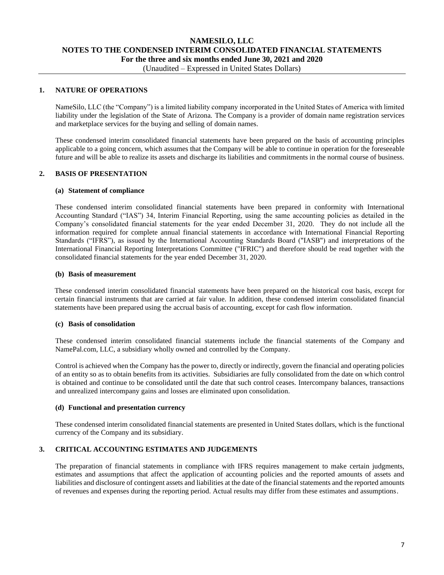# **NAMESILO, LLC NOTES TO THE CONDENSED INTERIM CONSOLIDATED FINANCIAL STATEMENTS For the three and six months ended June 30, 2021 and 2020** (Unaudited – Expressed in United States Dollars)

## **1. NATURE OF OPERATIONS**

NameSilo, LLC (the "Company") is a limited liability company incorporated in the United States of America with limited liability under the legislation of the State of Arizona. The Company is a provider of domain name registration services and marketplace services for the buying and selling of domain names.

These condensed interim consolidated financial statements have been prepared on the basis of accounting principles applicable to a going concern, which assumes that the Company will be able to continue in operation for the foreseeable future and will be able to realize its assets and discharge its liabilities and commitments in the normal course of business.

### **2. BASIS OF PRESENTATION**

#### **(a) Statement of compliance**

These condensed interim consolidated financial statements have been prepared in conformity with International Accounting Standard ("IAS") 34, Interim Financial Reporting, using the same accounting policies as detailed in the Company's consolidated financial statements for the year ended December 31, 2020. They do not include all the information required for complete annual financial statements in accordance with International Financial Reporting Standards ("IFRS"), as issued by the International Accounting Standards Board ("IASB") and interpretations of the International Financial Reporting Interpretations Committee ("IFRIC") and therefore should be read together with the consolidated financial statements for the year ended December 31, 2020.

#### **(b) Basis of measurement**

These condensed interim consolidated financial statements have been prepared on the historical cost basis, except for certain financial instruments that are carried at fair value. In addition, these condensed interim consolidated financial statements have been prepared using the accrual basis of accounting, except for cash flow information.

### **(c) Basis of consolidation**

These condensed interim consolidated financial statements include the financial statements of the Company and NamePal.com, LLC, a subsidiary wholly owned and controlled by the Company.

Control is achieved when the Company has the power to, directly or indirectly, govern the financial and operating policies of an entity so as to obtain benefits from its activities. Subsidiaries are fully consolidated from the date on which control is obtained and continue to be consolidated until the date that such control ceases. Intercompany balances, transactions and unrealized intercompany gains and losses are eliminated upon consolidation.

#### **(d) Functional and presentation currency**

These condensed interim consolidated financial statements are presented in United States dollars, which is the functional currency of the Company and its subsidiary.

## **3. CRITICAL ACCOUNTING ESTIMATES AND JUDGEMENTS**

The preparation of financial statements in compliance with IFRS requires management to make certain judgments, estimates and assumptions that affect the application of accounting policies and the reported amounts of assets and liabilities and disclosure of contingent assets and liabilities at the date of the financial statements and the reported amounts of revenues and expenses during the reporting period. Actual results may differ from these estimates and assumptions.